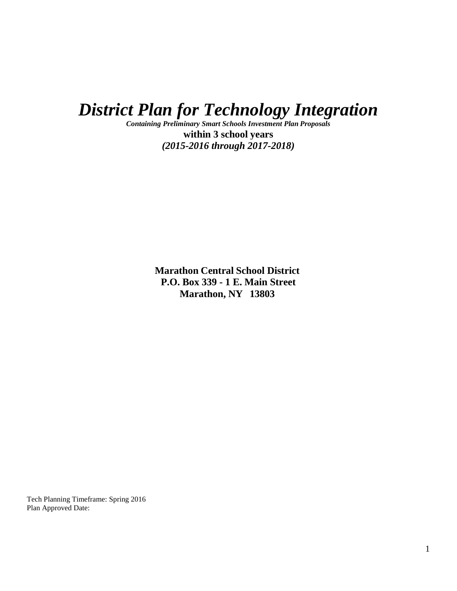*District Plan for Technology Integration*

*Containing Preliminary Smart Schools Investment Plan Proposals* **within 3 school years** *(2015-2016 through 2017-2018)*

> **Marathon Central School District P.O. Box 339 - 1 E. Main Street Marathon, NY 13803**

Tech Planning Timeframe: Spring 2016 Plan Approved Date: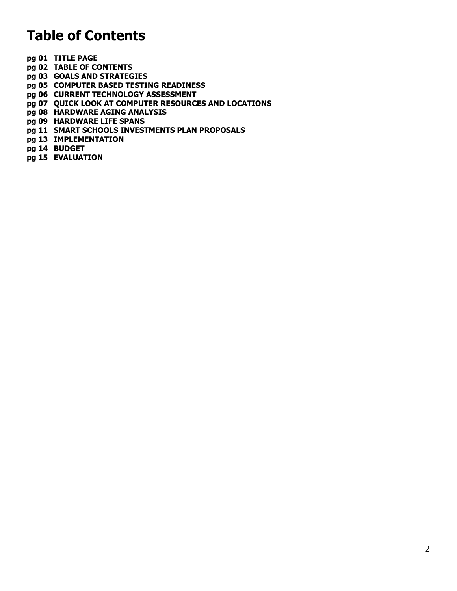# **Table of Contents**

- **pg 01 TITLE PAGE**
- **pg 02 TABLE OF CONTENTS**
- **pg 03 GOALS AND STRATEGIES**
- **pg 05 COMPUTER BASED TESTING READINESS**
- **pg 06 CURRENT TECHNOLOGY ASSESSMENT**
- **pg 07 QUICK LOOK AT COMPUTER RESOURCES AND LOCATIONS**
- **pg 08 HARDWARE AGING ANALYSIS**
- **pg 09 HARDWARE LIFE SPANS**
- **pg 11 SMART SCHOOLS INVESTMENTS PLAN PROPOSALS**
- **pg 13 IMPLEMENTATION**
- **pg 14 BUDGET**
- **pg 15 EVALUATION**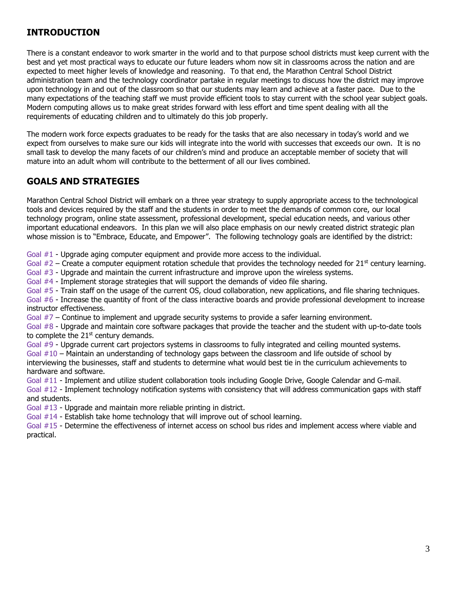# **INTRODUCTION**

There is a constant endeavor to work smarter in the world and to that purpose school districts must keep current with the best and yet most practical ways to educate our future leaders whom now sit in classrooms across the nation and are expected to meet higher levels of knowledge and reasoning. To that end, the Marathon Central School District administration team and the technology coordinator partake in regular meetings to discuss how the district may improve upon technology in and out of the classroom so that our students may learn and achieve at a faster pace. Due to the many expectations of the teaching staff we must provide efficient tools to stay current with the school year subject goals. Modern computing allows us to make great strides forward with less effort and time spent dealing with all the requirements of educating children and to ultimately do this job properly.

The modern work force expects graduates to be ready for the tasks that are also necessary in today's world and we expect from ourselves to make sure our kids will integrate into the world with successes that exceeds our own. It is no small task to develop the many facets of our children's mind and produce an acceptable member of society that will mature into an adult whom will contribute to the betterment of all our lives combined.

# **GOALS AND STRATEGIES**

Marathon Central School District will embark on a three year strategy to supply appropriate access to the technological tools and devices required by the staff and the students in order to meet the demands of common core, our local technology program, online state assessment, professional development, special education needs, and various other important educational endeavors. In this plan we will also place emphasis on our newly created district strategic plan whose mission is to "Embrace, Educate, and Empower". The following technology goals are identified by the district:

Goal #1 - Upgrade aging computer equipment and provide more access to the individual.

Goal  $#2$  – Create a computer equipment rotation schedule that provides the technology needed for 21<sup>st</sup> century learning.

Goal #3 - Upgrade and maintain the current infrastructure and improve upon the wireless systems.

Goal #4 - Implement storage strategies that will support the demands of video file sharing.

Goal #5 - Train staff on the usage of the current OS, cloud collaboration, new applications, and file sharing techniques.

Goal #6 - Increase the quantity of front of the class interactive boards and provide professional development to increase instructor effectiveness.

Goal #7 – Continue to implement and upgrade security systems to provide a safer learning environment.

Goal #8 - Upgrade and maintain core software packages that provide the teacher and the student with up-to-date tools to complete the  $21<sup>st</sup>$  century demands.

Goal #9 - Upgrade current cart projectors systems in classrooms to fully integrated and ceiling mounted systems. Goal #10 – Maintain an understanding of technology gaps between the classroom and life outside of school by interviewing the businesses, staff and students to determine what would best tie in the curriculum achievements to hardware and software.

Goal #11 - Implement and utilize student collaboration tools including Google Drive, Google Calendar and G-mail.

Goal #12 - Implement technology notification systems with consistency that will address communication gaps with staff and students.

Goal #13 - Upgrade and maintain more reliable printing in district.

Goal #14 - Establish take home technology that will improve out of school learning.

Goal #15 - Determine the effectiveness of internet access on school bus rides and implement access where viable and practical.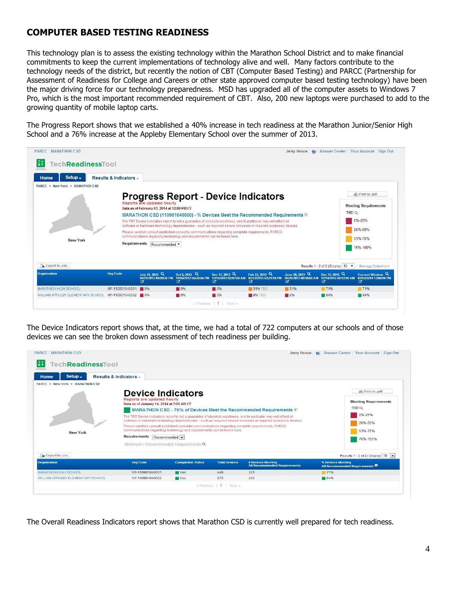# **COMPUTER BASED TESTING READINESS**

This technology plan is to assess the existing technology within the Marathon School District and to make financial commitments to keep the current implementations of technology alive and well. Many factors contribute to the technology needs of the district, but recently the notion of CBT (Computer Based Testing) and PARCC (Partnership for Assessment of Readiness for College and Careers or other state approved computer based testing technology) have been the major driving force for our technology preparedness. MSD has upgraded all of the computer assets to Windows 7 Pro, which is the most important recommended requirement of CBT. Also, 200 new laptops were purchased to add to the growing quantity of mobile laptop carts.

The Progress Report shows that we established a 40% increase in tech readiness at the Marathon Junior/Senior High School and a 76% increase at the Appleby Elementary School over the summer of 2013.

| <b>New York</b> | <b>Requirements</b>                | communications regarding technology and requirements can be found here.<br>Recommended v |                                          | Please carefully consult published consortia communications regarding complete requirements. PARCC |                                                       |                                               | 26%-50%<br>51%-75%<br>76%-100%                  |
|-----------------|------------------------------------|------------------------------------------------------------------------------------------|------------------------------------------|----------------------------------------------------------------------------------------------------|-------------------------------------------------------|-----------------------------------------------|-------------------------------------------------|
| Export to .csv  |                                    |                                                                                          |                                          |                                                                                                    |                                                       | Results 1 - 2 of 2   Display   10 .           | Manage Columns v                                |
|                 | <b>Org Code</b><br>July 15, 2012 Q | Oct 5, 2012 Q                                                                            | Dec 17, 2012 Q<br>10/05/2012 05:38:56 PM | Feb 22, 2013 Q<br>12/18/2012 02:07:56 AM 02/22/2013 03:21:18 PM                                    | June 28, 2013 Q<br>06/29/2013 08:18:59 AM<br><b>M</b> | Dec 13, 2013 Q<br>12/14/2013 08:12:16 AM<br>啓 | Current Window Q<br>02/03/2014 12:00:00 PM<br>啓 |

The Device Indicators report shows that, at the time, we had a total of 722 computers at our schools and of those devices we can see the broken down assessment of tech readiness per building.

| <b>TechReadinessTool</b><br>Setup $\overline{\phantom{a}}$<br>Home | Results & Indicators -                                                                                                                                                                                                                                                                                             |                          |                      |                                                                                                                                                                                                                                                                                                                   |                                                                                                                   |
|--------------------------------------------------------------------|--------------------------------------------------------------------------------------------------------------------------------------------------------------------------------------------------------------------------------------------------------------------------------------------------------------------|--------------------------|----------------------|-------------------------------------------------------------------------------------------------------------------------------------------------------------------------------------------------------------------------------------------------------------------------------------------------------------------|-------------------------------------------------------------------------------------------------------------------|
| PARCC > New York > MARRATION CSD<br>New York                       | <b>Device Indicators</b><br>Reports are updated hourly<br>Data as of January 14, 2014 at 7:00 AM CT<br>Please carefully consult published consortia communications regarding complete requirements. PARCC<br>communications regarding technology and requirements can be found here.<br>Requirements Recommended - |                          |                      | MARATHON CSD - 76% of Devices Meet the Recommended Requirements $\mathbb D$<br>The TRT Device Indicators report is not a quarantee of absolute readiness, and in particular may not reflect all<br>software or hardware technology dependencies - such as required secure browsers or required accessory devices. | <b>A</b> Print to .pdf<br><b>Meeting Requirements</b><br><b>TBD Q</b><br>0%-25%<br>26%-50%<br>51%-75%<br>76%-100% |
| Export to .csv                                                     | Minimum / Recommended Requirements Q                                                                                                                                                                                                                                                                               |                          |                      |                                                                                                                                                                                                                                                                                                                   | Results 1 - 2 of 2   Display 10 -                                                                                 |
| <b>Organization</b>                                                | <b>Org Code</b>                                                                                                                                                                                                                                                                                                    | <b>Completion Status</b> | <b>Total Devices</b> | # Devices Meeting<br><b>All Recommended Requirements</b>                                                                                                                                                                                                                                                          | % Devices Meeting<br>All Recommended Requirements                                                                 |
| <b>MARATHON HIGH SCHOOL</b>                                        | NY-110901040001                                                                                                                                                                                                                                                                                                    | <b>Yes</b>               | 449                  | 321                                                                                                                                                                                                                                                                                                               | 71%                                                                                                               |
| WILLIAM APPLEBY ELEMENTARY SCHOOL                                  | NY-110901040002                                                                                                                                                                                                                                                                                                    | <b>TYes</b>              | 273                  | 230                                                                                                                                                                                                                                                                                                               | 84%                                                                                                               |

The Overall Readiness Indicators report shows that Marathon CSD is currently well prepared for tech readiness.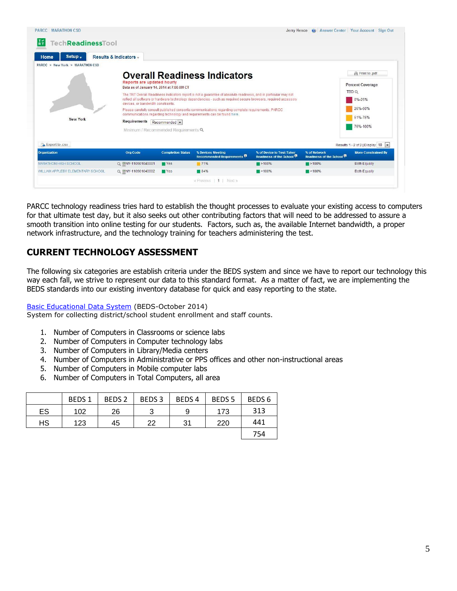| Setup -<br><b>Home</b>                      | Results & Indicators -                                                                                                                                                            |                          |                                                                                                                                                                                                                                                                                                                                                                                                                                                            |                                                                    |                                                      |                                                                                                        |
|---------------------------------------------|-----------------------------------------------------------------------------------------------------------------------------------------------------------------------------------|--------------------------|------------------------------------------------------------------------------------------------------------------------------------------------------------------------------------------------------------------------------------------------------------------------------------------------------------------------------------------------------------------------------------------------------------------------------------------------------------|--------------------------------------------------------------------|------------------------------------------------------|--------------------------------------------------------------------------------------------------------|
| PARCC > New York > MARATHON CSD<br>New York | Reports are updated hourly<br>Data as of January 14, 2014 at 7:00 AM CT<br>devices or handwidth constraints<br>Requirements Recommended -<br>Minimum / Recommended Requirements Q |                          | <b>Overall Readiness Indicators</b><br>The TRT Overall Readiness Indicators report is not a quarantee of absolute readiness, and in particular may not<br>reflect all software or hardware technology dependencies - such as required secure browsers, required accessory<br>Please carefully consult published consortia communications regarding complete requirements. PARCC<br>communications regarding technology and requirements can be found here. |                                                                    |                                                      | <b>A</b> Print to .pdf<br><b>Percent Coverage</b><br>TBD Q<br>0%-25%<br>26%-50%<br>51%-75%<br>76%-100% |
|                                             |                                                                                                                                                                                   |                          |                                                                                                                                                                                                                                                                                                                                                                                                                                                            |                                                                    |                                                      |                                                                                                        |
| Export to .csv                              |                                                                                                                                                                                   |                          |                                                                                                                                                                                                                                                                                                                                                                                                                                                            |                                                                    |                                                      |                                                                                                        |
| Organization                                | <b>Org Code</b>                                                                                                                                                                   | <b>Completion Status</b> | % Devices Meeting<br><b>Recommended Requirements</b>                                                                                                                                                                                                                                                                                                                                                                                                       | % of Device to Test-Taker<br>Readiness of the School <sup>10</sup> | % of Network<br>Readiness of the School <sup>®</sup> |                                                                                                        |
| <b>MARATHON HIGH SCHOOL</b>                 | Q MY-110901040001                                                                                                                                                                 | <b>TYes</b>              | 71%                                                                                                                                                                                                                                                                                                                                                                                                                                                        | $\blacksquare$ > 100%                                              | $\blacksquare$ >100%                                 | Results 1 - 2 of 2   Display   10<br><b>More Constrained By</b><br><b>Both Equally</b>                 |

PARCC technology readiness tries hard to establish the thought processes to evaluate your existing access to computers for that ultimate test day, but it also seeks out other contributing factors that will need to be addressed to assure a smooth transition into online testing for our students. Factors, such as, the available Internet bandwidth, a proper network infrastructure, and the technology training for teachers administering the test.

# **CURRENT TECHNOLOGY ASSESSMENT**

The following six categories are establish criteria under the BEDS system and since we have to report our technology this way each fall, we strive to represent our data to this standard format. As a matter of fact, we are implementing the BEDS standards into our existing inventory database for quick and easy reporting to the state.

[Basic Educational Data System](http://www.p12.nysed.gov/irs/beds/home.html) (BEDS-October 2014)

System for collecting district/school student enrollment and staff counts.

- 1. Number of Computers in Classrooms or science labs
- 2. Number of Computers in Computer technology labs
- 3. Number of Computers in Library/Media centers
- 4. Number of Computers in Administrative or PPS offices and other non-instructional areas
- 5. Number of Computers in Mobile computer labs
- 6. Number of Computers in Total Computers, all area

|    | <b>BEDS1</b> | BEDS <sub>2</sub> | BEDS <sub>3</sub> | BEDS <sub>4</sub> | BEDS <sub>5</sub> | BEDS <sub>6</sub> |
|----|--------------|-------------------|-------------------|-------------------|-------------------|-------------------|
| ES | 102          | 26                |                   | 9                 | 173               | 313               |
| HS | 123          | 45                | 22                | 31                | 220               | 441               |
|    |              |                   |                   |                   |                   | 754               |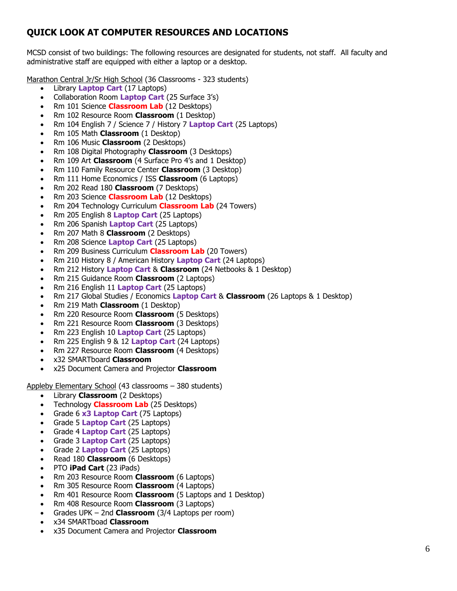# **QUICK LOOK AT COMPUTER RESOURCES AND LOCATIONS**

MCSD consist of two buildings: The following resources are designated for students, not staff. All faculty and administrative staff are equipped with either a laptop or a desktop.

Marathon Central Jr/Sr High School (36 Classrooms - 323 students)

- Library **Laptop Cart** (17 Laptops)
- Collaboration Room **Laptop Cart** (25 Surface 3's)
- Rm 101 Science **Classroom Lab** (12 Desktops)
- Rm 102 Resource Room **Classroom** (1 Desktop)
- Rm 104 English 7 / Science 7 / History 7 **Laptop Cart** (25 Laptops)
- Rm 105 Math **Classroom** (1 Desktop)
- Rm 106 Music **Classroom** (2 Desktops)
- Rm 108 Digital Photography **Classroom** (3 Desktops)
- Rm 109 Art **Classroom** (4 Surface Pro 4's and 1 Desktop)
- Rm 110 Family Resource Center **Classroom** (3 Desktop)
- Rm 111 Home Economics / ISS **Classroom** (6 Laptops)
- Rm 202 Read 180 **Classroom** (7 Desktops)
- Rm 203 Science **Classroom Lab** (12 Desktops)
- Rm 204 Technology Curriculum **Classroom Lab** (24 Towers)
- Rm 205 English 8 **Laptop Cart** (25 Laptops)
- Rm 206 Spanish **Laptop Cart** (25 Laptops)
- Rm 207 Math 8 **Classroom** (2 Desktops)
- Rm 208 Science **Laptop Cart** (25 Laptops)
- Rm 209 Business Curriculum **Classroom Lab** (20 Towers)
- Rm 210 History 8 / American History **Laptop Cart** (24 Laptops)
- Rm 212 History **Laptop Cart** & **Classroom** (24 Netbooks & 1 Desktop)
- Rm 215 Guidance Room **Classroom** (2 Laptops)
- Rm 216 English 11 **Laptop Cart** (25 Laptops)
- Rm 217 Global Studies / Economics **Laptop Cart** & **Classroom** (26 Laptops & 1 Desktop)
- Rm 219 Math **Classroom** (1 Desktop)
- Rm 220 Resource Room **Classroom** (5 Desktops)
- Rm 221 Resource Room **Classroom** (3 Desktops)
- Rm 223 English 10 **Laptop Cart** (25 Laptops)
- Rm 225 English 9 & 12 **Laptop Cart** (24 Laptops)
- Rm 227 Resource Room **Classroom** (4 Desktops)
- x32 SMARTboard **Classroom**
- x25 Document Camera and Projector **Classroom**

Appleby Elementary School (43 classrooms – 380 students)

- Library **Classroom** (2 Desktops)
- Technology **Classroom Lab** (25 Desktops)
- Grade 6 **x3 Laptop Cart** (75 Laptops)
- Grade 5 **Laptop Cart** (25 Laptops)
- Grade 4 **Laptop Cart** (25 Laptops)
- Grade 3 **Laptop Cart** (25 Laptops)
- Grade 2 **Laptop Cart** (25 Laptops)
- Read 180 **Classroom** (6 Desktops)
- PTO **iPad Cart** (23 iPads)
- Rm 203 Resource Room **Classroom** (6 Laptops)
- Rm 305 Resource Room **Classroom** (4 Laptops)
- Rm 401 Resource Room **Classroom** (5 Laptops and 1 Desktop)
- Rm 408 Resource Room **Classroom** (3 Laptops)
- Grades UPK 2nd **Classroom** (3/4 Laptops per room)
- x34 SMARTboad **Classroom**
- x35 Document Camera and Projector **Classroom**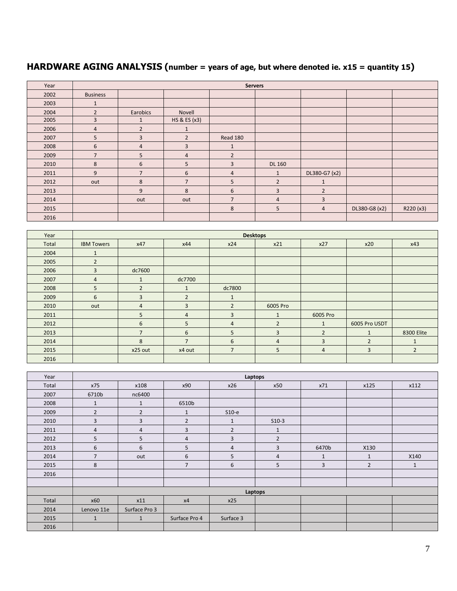# **HARDWARE AGING ANALYSIS (number = years of age, but where denoted ie. x15 = quantity 15)**

| Year |                 |                |                | <b>Servers</b> |                |                |               |           |
|------|-----------------|----------------|----------------|----------------|----------------|----------------|---------------|-----------|
| 2002 | <b>Business</b> |                |                |                |                |                |               |           |
| 2003 | $\mathbf{1}$    |                |                |                |                |                |               |           |
| 2004 | $\overline{2}$  | Earobics       | Novell         |                |                |                |               |           |
| 2005 | 3               | $\mathbf{1}$   | HS & ES (x3)   |                |                |                |               |           |
| 2006 | 4               | $\overline{2}$ | $\mathbf{1}$   |                |                |                |               |           |
| 2007 | 5               | $\overline{3}$ | $\overline{2}$ | Read 180       |                |                |               |           |
| 2008 | 6               | $\overline{4}$ | 3              | $\mathbf{1}$   |                |                |               |           |
| 2009 | $\overline{7}$  | 5 <sup>1</sup> | $\overline{4}$ | $\overline{2}$ |                |                |               |           |
| 2010 | 8               | 6              | 5              | 3              | <b>DL 160</b>  |                |               |           |
| 2011 | 9               | $\overline{7}$ | 6              | $\overline{4}$ | $\mathbf{1}$   | DL380-G7 (x2)  |               |           |
| 2012 | out             | 8              | $\overline{7}$ | 5              | $\overline{2}$ | $\mathbf{1}$   |               |           |
| 2013 |                 | 9              | 8              | 6              | $\overline{3}$ | $\overline{2}$ |               |           |
| 2014 |                 | out            | out            | $\overline{7}$ | 4              | 3              |               |           |
| 2015 |                 |                |                | 8              | 5              | $\overline{4}$ | DL380-G8 (x2) | R220 (x3) |
| 2016 |                 |                |                |                |                |                |               |           |

| Year  |                   |                |                | <b>Desktops</b> |                |                |                |                |
|-------|-------------------|----------------|----------------|-----------------|----------------|----------------|----------------|----------------|
| Total | <b>IBM Towers</b> | x47            | x44            | x24             | x21            | x27            | x20            | x43            |
| 2004  | $\mathbf{1}$      |                |                |                 |                |                |                |                |
| 2005  | $\overline{2}$    |                |                |                 |                |                |                |                |
| 2006  | 3                 | dc7600         |                |                 |                |                |                |                |
| 2007  | $\overline{4}$    | $\mathbf{1}$   | dc7700         |                 |                |                |                |                |
| 2008  | 5                 | $\overline{2}$ | $\mathbf{1}$   | dc7800          |                |                |                |                |
| 2009  | 6                 | $\overline{3}$ | $\overline{2}$ | $\mathbf{1}$    |                |                |                |                |
| 2010  | out               | $\overline{4}$ | 3              | $\overline{2}$  | 6005 Pro       |                |                |                |
| 2011  |                   | 5              | $\overline{4}$ | 3               | $\mathbf{1}$   | 6005 Pro       |                |                |
| 2012  |                   | 6              | 5              | $\overline{4}$  | $\overline{2}$ | $\mathbf{1}$   | 6005 Pro USDT  |                |
| 2013  |                   | $\overline{7}$ | 6              | 5               | 3              | $\overline{2}$ | $\mathbf{1}$   | 8300 Elite     |
| 2014  |                   | 8              | $\overline{7}$ | 6               | $\overline{4}$ | $\overline{3}$ | $\overline{2}$ | $\mathbf{1}$   |
| 2015  |                   | x25 out        | x4 out         | $\overline{7}$  | 5              | 4              | 3              | $\overline{2}$ |
| 2016  |                   |                |                |                 |                |                |                |                |

| Year  |                | Laptops        |                |                |                |              |                |              |  |  |
|-------|----------------|----------------|----------------|----------------|----------------|--------------|----------------|--------------|--|--|
| Total | x75            | x108           | x90            | x26            | x50            | x71          | x125           | x112         |  |  |
| 2007  | 6710b          | nc6400         |                |                |                |              |                |              |  |  |
| 2008  | $\mathbf{1}$   | $\mathbf{1}$   | 6510b          |                |                |              |                |              |  |  |
| 2009  | $\overline{2}$ | $\overline{2}$ | $\mathbf{1}$   | $S10-e$        |                |              |                |              |  |  |
| 2010  | 3              | 3              | $\overline{2}$ | $\mathbf{1}$   | $S10-3$        |              |                |              |  |  |
| 2011  | 4              | $\overline{4}$ | 3              | $\overline{2}$ | $\mathbf{1}$   |              |                |              |  |  |
| 2012  | 5              | 5              | 4              | 3              | $\overline{2}$ |              |                |              |  |  |
| 2013  | 6              | 6              | 5              | $\overline{4}$ | 3              | 6470b        | X130           |              |  |  |
| 2014  | $\overline{7}$ | out            | 6              | 5              | 4              | $\mathbf{1}$ | $1\,$          | X140         |  |  |
| 2015  | 8              |                | $\overline{7}$ | 6              | 5              | 3            | $\overline{2}$ | $\mathbf{1}$ |  |  |
| 2016  |                |                |                |                |                |              |                |              |  |  |
|       |                |                |                |                |                |              |                |              |  |  |
|       |                |                |                |                | Laptops        |              |                |              |  |  |
| Total | x60            | x11            | x4             | x25            |                |              |                |              |  |  |
| 2014  | Lenovo 11e     | Surface Pro 3  |                |                |                |              |                |              |  |  |
| 2015  | $\mathbf{1}$   | $\mathbf{1}$   | Surface Pro 4  | Surface 3      |                |              |                |              |  |  |
| 2016  |                |                |                |                |                |              |                |              |  |  |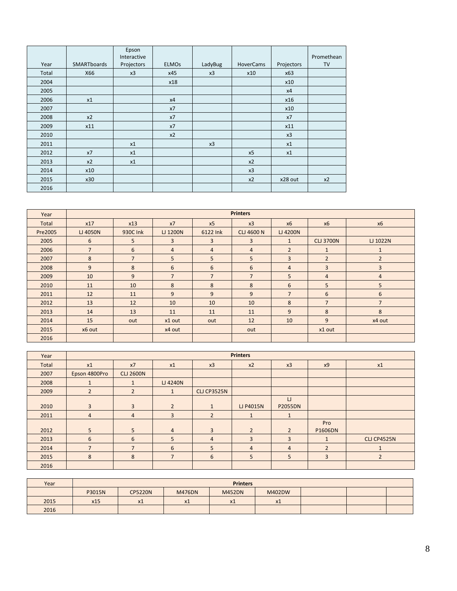|       |                    | Epson<br>Interactive |              |         |                  |            | Promethean |
|-------|--------------------|----------------------|--------------|---------|------------------|------------|------------|
| Year  | <b>SMARTboards</b> | Projectors           | <b>ELMOs</b> | LadyBug | <b>HoverCams</b> | Projectors | <b>TV</b>  |
| Total | X66                | x3                   | x45          | x3      | x10              | x63        |            |
| 2004  |                    |                      | x18          |         |                  | x10        |            |
| 2005  |                    |                      |              |         |                  | x4         |            |
| 2006  | x1                 |                      | x4           |         |                  | x16        |            |
| 2007  |                    |                      | x7           |         |                  | x10        |            |
| 2008  | x2                 |                      | x7           |         |                  | x7         |            |
| 2009  | x11                |                      | x7           |         |                  | x11        |            |
| 2010  |                    |                      | x2           |         |                  | x3         |            |
| 2011  |                    | x1                   |              | x3      |                  | x1         |            |
| 2012  | x7                 | x1                   |              |         | x5               | x1         |            |
| 2013  | x2                 | x1                   |              |         | x2               |            |            |
| 2014  | x10                |                      |              |         | x3               |            |            |
| 2015  | x30                |                      |              |         | x2               | x28 out    | x2         |
| 2016  |                    |                      |              |         |                  |            |            |

| Year    |                |                |                |                | <b>Printers</b>   |                |                  |                |
|---------|----------------|----------------|----------------|----------------|-------------------|----------------|------------------|----------------|
| Total   | x17            | x13            | x7             | x5             | x3                | x6             | <b>x6</b>        | x6             |
| Pre2005 | LJ 4050N       | 930C Ink       | LJ 1200N       | 6122 Ink       | <b>CLJ 4600 N</b> | LJ 4200N       |                  |                |
| 2005    | 6              | 5              | 3              | $\overline{3}$ | $\overline{3}$    | $\mathbf{1}$   | <b>CLJ 3700N</b> | LJ 1022N       |
| 2006    | $\overline{7}$ | 6              | 4              | $\overline{4}$ | $\overline{4}$    | $\overline{2}$ | $\mathbf{1}$     | $\mathbf{1}$   |
| 2007    | 8              | $\overline{7}$ | 5              | 5              | 5                 | 3              | $\overline{2}$   | $\overline{2}$ |
| 2008    | 9              | 8              | 6              | 6              | 6                 | $\overline{4}$ | 3                | $\overline{3}$ |
| 2009    | 10             | 9              | $\overline{7}$ | $\overline{7}$ | $\overline{7}$    | 5              | $\overline{4}$   | $\overline{4}$ |
| 2010    | 11             | 10             | 8              | 8              | 8                 | 6              | 5                | 5              |
| 2011    | 12             | 11             | 9              | 9              | 9                 | $\overline{7}$ | 6                | 6              |
| 2012    | 13             | 12             | 10             | 10             | 10                | 8              | $\overline{7}$   | $\overline{7}$ |
| 2013    | 14             | 13             | 11             | 11             | 11                | 9              | 8                | 8              |
| 2014    | 15             | out            | x1 out         | out            | 12                | 10             | 9                | x4 out         |
| 2015    | x6 out         |                | x4 out         |                | out               |                | x1 out           |                |
| 2016    |                |                |                |                |                   |                |                  |                |

| Year  |                | <b>Printers</b>  |                |                    |                |                          |                |                    |  |  |
|-------|----------------|------------------|----------------|--------------------|----------------|--------------------------|----------------|--------------------|--|--|
| Total | x1             | x7               | x1             | x3                 | x2             | x3                       | x9             | x1                 |  |  |
| 2007  | Epson 4800Pro  | <b>CLJ 2600N</b> |                |                    |                |                          |                |                    |  |  |
| 2008  |                | $\mathbf{1}$     | LJ 4240N       |                    |                |                          |                |                    |  |  |
| 2009  | $\overline{2}$ | $\overline{2}$   | $\mathbf{1}$   | <b>CLJ CP3525N</b> |                |                          |                |                    |  |  |
| 2010  | 3              | $\overline{3}$   | $\overline{2}$ | $\mathbf{1}$       | LJ P4015N      | $\cup$<br><b>P2055DN</b> |                |                    |  |  |
| 2011  | $\overline{4}$ | $\overline{4}$   | 3              | $\overline{2}$     | $\mathbf{1}$   | $\mathbf{1}$             |                |                    |  |  |
| 2012  | 5              | 5 <sup>5</sup>   | $\overline{4}$ | $\overline{3}$     | $\overline{2}$ | $\overline{2}$           | Pro<br>P1606DN |                    |  |  |
| 2013  | 6              | 6                | 5              | $\overline{4}$     | 3              | 3                        | $\mathbf{1}$   | <b>CLJ CP4525N</b> |  |  |
| 2014  |                | $\overline{7}$   | 6              | 5                  | $\overline{4}$ | $\overline{4}$           | $\overline{2}$ | 1                  |  |  |
| 2015  | 8              | 8                | $\overline{7}$ | 6                  | 5              | 5                        | 3              | $\overline{2}$     |  |  |
| 2016  |                |                  |                |                    |                |                          |                |                    |  |  |

| Year |        |                |                       | <b>Printers</b> |        |  |  |
|------|--------|----------------|-----------------------|-----------------|--------|--|--|
|      | P3015N | <b>CP5220N</b> | <b>M476DN</b>         | <b>M452DN</b>   | M402DW |  |  |
| 2015 | x15    | X1             | $\overline{ }$<br>X.L | x1              | x1     |  |  |
| 2016 |        |                |                       |                 |        |  |  |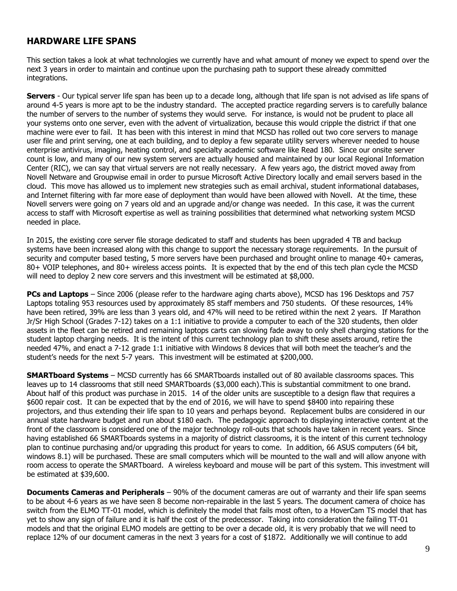### **HARDWARE LIFE SPANS**

This section takes a look at what technologies we currently have and what amount of money we expect to spend over the next 3 years in order to maintain and continue upon the purchasing path to support these already committed integrations.

**Servers** - Our typical server life span has been up to a decade long, although that life span is not advised as life spans of around 4-5 years is more apt to be the industry standard. The accepted practice regarding servers is to carefully balance the number of servers to the number of systems they would serve. For instance, is would not be prudent to place all your systems onto one server, even with the advent of virtualization, because this would cripple the district if that one machine were ever to fail. It has been with this interest in mind that MCSD has rolled out two core servers to manage user file and print serving, one at each building, and to deploy a few separate utility servers wherever needed to house enterprise antivirus, imaging, heating control, and specialty academic software like Read 180. Since our onsite server count is low, and many of our new system servers are actually housed and maintained by our local Regional Information Center (RIC), we can say that virtual servers are not really necessary. A few years ago, the district moved away from Novell Netware and Groupwise email in order to pursue Microsoft Active Directory locally and email servers based in the cloud. This move has allowed us to implement new strategies such as email archival, student informational databases, and Internet filtering with far more ease of deployment than would have been allowed with Novell. At the time, these Novell servers were going on 7 years old and an upgrade and/or change was needed. In this case, it was the current access to staff with Microsoft expertise as well as training possibilities that determined what networking system MCSD needed in place.

In 2015, the existing core server file storage dedicated to staff and students has been upgraded 4 TB and backup systems have been increased along with this change to support the necessary storage requirements. In the pursuit of security and computer based testing, 5 more servers have been purchased and brought online to manage 40+ cameras, 80+ VOIP telephones, and 80+ wireless access points. It is expected that by the end of this tech plan cycle the MCSD will need to deploy 2 new core servers and this investment will be estimated at \$8,000.

**PCs and Laptops** – Since 2006 (please refer to the hardware aging charts above), MCSD has 196 Desktops and 757 Laptops totaling 953 resources used by approximately 85 staff members and 750 students. Of these resources, 14% have been retired, 39% are less than 3 years old, and 47% will need to be retired within the next 2 years. If Marathon Jr/Sr High School (Grades 7-12) takes on a 1:1 initiative to provide a computer to each of the 320 students, then older assets in the fleet can be retired and remaining laptops carts can slowing fade away to only shell charging stations for the student laptop charging needs. It is the intent of this current technology plan to shift these assets around, retire the needed 47%, and enact a 7-12 grade 1:1 initiative with Windows 8 devices that will both meet the teacher's and the student's needs for the next 5-7 years. This investment will be estimated at \$200,000.

**SMARTboard Systems** – MCSD currently has 66 SMARTboards installed out of 80 available classrooms spaces. This leaves up to 14 classrooms that still need SMARTboards (\$3,000 each).This is substantial commitment to one brand. About half of this product was purchase in 2015. 14 of the older units are susceptible to a design flaw that requires a \$600 repair cost. It can be expected that by the end of 2016, we will have to spend \$8400 into repairing these projectors, and thus extending their life span to 10 years and perhaps beyond. Replacement bulbs are considered in our annual state hardware budget and run about \$180 each. The pedagogic approach to displaying interactive content at the front of the classroom is considered one of the major technology roll-outs that schools have taken in recent years. Since having established 66 SMARTboards systems in a majority of district classrooms, it is the intent of this current technology plan to continue purchasing and/or upgrading this product for years to come. In addition, 66 ASUS computers (64 bit, windows 8.1) will be purchased. These are small computers which will be mounted to the wall and will allow anyone with room access to operate the SMARTboard. A wireless keyboard and mouse will be part of this system. This investment will be estimated at \$39,600.

**Documents Cameras and Peripherals** – 90% of the document cameras are out of warranty and their life span seems to be about 4-6 years as we have seen 8 become non-repairable in the last 5 years. The document camera of choice has switch from the ELMO TT-01 model, which is definitely the model that fails most often, to a HoverCam TS model that has yet to show any sign of failure and it is half the cost of the predecessor. Taking into consideration the failing TT-01 models and that the original ELMO models are getting to be over a decade old, it is very probably that we will need to replace 12% of our document cameras in the next 3 years for a cost of \$1872. Additionally we will continue to add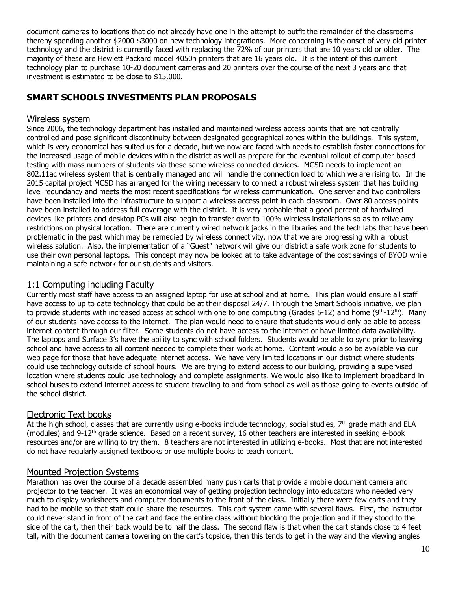document cameras to locations that do not already have one in the attempt to outfit the remainder of the classrooms thereby spending another \$2000-\$3000 on new technology integrations. More concerning is the onset of very old printer technology and the district is currently faced with replacing the 72% of our printers that are 10 years old or older. The majority of these are Hewlett Packard model 4050n printers that are 16 years old. It is the intent of this current technology plan to purchase 10-20 document cameras and 20 printers over the course of the next 3 years and that investment is estimated to be close to \$15,000.

# **SMART SCHOOLS INVESTMENTS PLAN PROPOSALS**

#### Wireless system

Since 2006, the technology department has installed and maintained wireless access points that are not centrally controlled and pose significant discontinuity between designated geographical zones within the buildings. This system, which is very economical has suited us for a decade, but we now are faced with needs to establish faster connections for the increased usage of mobile devices within the district as well as prepare for the eventual rollout of computer based testing with mass numbers of students via these same wireless connected devices. MCSD needs to implement an 802.11ac wireless system that is centrally managed and will handle the connection load to which we are rising to. In the 2015 capital project MCSD has arranged for the wiring necessary to connect a robust wireless system that has building level redundancy and meets the most recent specifications for wireless communication. One server and two controllers have been installed into the infrastructure to support a wireless access point in each classroom. Over 80 access points have been installed to address full coverage with the district. It is very probable that a good percent of hardwired devices like printers and desktop PCs will also begin to transfer over to 100% wireless installations so as to relive any restrictions on physical location. There are currently wired network jacks in the libraries and the tech labs that have been problematic in the past which may be remedied by wireless connectivity, now that we are progressing with a robust wireless solution. Also, the implementation of a "Guest" network will give our district a safe work zone for students to use their own personal laptops. This concept may now be looked at to take advantage of the cost savings of BYOD while maintaining a safe network for our students and visitors.

#### 1:1 Computing including Faculty

Currently most staff have access to an assigned laptop for use at school and at home. This plan would ensure all staff have access to up to date technology that could be at their disposal 24/7. Through the Smart Schools initiative, we plan to provide students with increased access at school with one to one computing (Grades 5-12) and home  $(9^{th} - 12^{th})$ . Many of our students have access to the internet. The plan would need to ensure that students would only be able to access internet content through our filter. Some students do not have access to the internet or have limited data availability. The laptops and Surface 3's have the ability to sync with school folders. Students would be able to sync prior to leaving school and have access to all content needed to complete their work at home. Content would also be available via our web page for those that have adequate internet access. We have very limited locations in our district where students could use technology outside of school hours. We are trying to extend access to our building, providing a supervised location where students could use technology and complete assignments. We would also like to implement broadband in school buses to extend internet access to student traveling to and from school as well as those going to events outside of the school district.

#### Electronic Text books

At the high school, classes that are currently using e-books include technology, social studies, 7<sup>th</sup> grade math and ELA (modules) and  $9-12$ <sup>th</sup> grade science. Based on a recent survey, 16 other teachers are interested in seeking e-book resources and/or are willing to try them. 8 teachers are not interested in utilizing e-books. Most that are not interested do not have regularly assigned textbooks or use multiple books to teach content.

#### Mounted Projection Systems

Marathon has over the course of a decade assembled many push carts that provide a mobile document camera and projector to the teacher. It was an economical way of getting projection technology into educators who needed very much to display worksheets and computer documents to the front of the class. Initially there were few carts and they had to be mobile so that staff could share the resources. This cart system came with several flaws. First, the instructor could never stand in front of the cart and face the entire class without blocking the projection and if they stood to the side of the cart, then their back would be to half the class. The second flaw is that when the cart stands close to 4 feet tall, with the document camera towering on the cart's topside, then this tends to get in the way and the viewing angles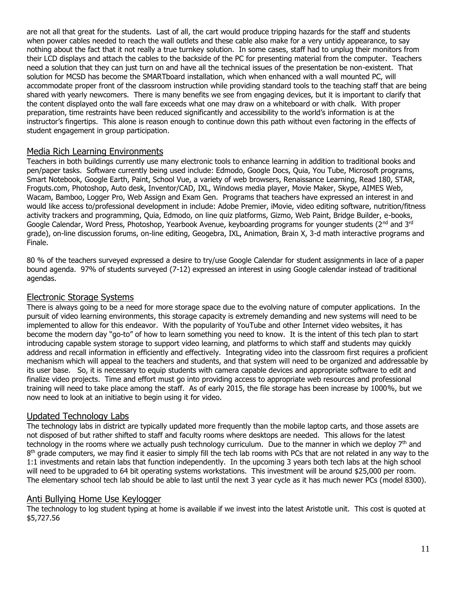are not all that great for the students. Last of all, the cart would produce tripping hazards for the staff and students when power cables needed to reach the wall outlets and these cable also make for a very untidy appearance, to say nothing about the fact that it not really a true turnkey solution. In some cases, staff had to unplug their monitors from their LCD displays and attach the cables to the backside of the PC for presenting material from the computer. Teachers need a solution that they can just turn on and have all the technical issues of the presentation be non-existent. That solution for MCSD has become the SMARTboard installation, which when enhanced with a wall mounted PC, will accommodate proper front of the classroom instruction while providing standard tools to the teaching staff that are being shared with yearly newcomers. There is many benefits we see from engaging devices, but it is important to clarify that the content displayed onto the wall fare exceeds what one may draw on a whiteboard or with chalk. With proper preparation, time restraints have been reduced significantly and accessibility to the world's information is at the instructor's fingertips. This alone is reason enough to continue down this path without even factoring in the effects of student engagement in group participation.

#### Media Rich Learning Environments

Teachers in both buildings currently use many electronic tools to enhance learning in addition to traditional books and pen/paper tasks. Software currently being used include: Edmodo, Google Docs, Quia, You Tube, Microsoft programs, Smart Notebook, Google Earth, Paint, School Vue, a variety of web browsers, Renaissance Learning, Read 180, STAR, Froguts.com, Photoshop, Auto desk, Inventor/CAD, IXL, Windows media player, Movie Maker, Skype, AIMES Web, Wacam, Bamboo, Logger Pro, Web Assign and Exam Gen. Programs that teachers have expressed an interest in and would like access to/professional development in include: Adobe Premier, iMovie, video editing software, nutrition/fitness activity trackers and programming, Quia, Edmodo, on line quiz platforms, Gizmo, Web Paint, Bridge Builder, e-books, Google Calendar, Word Press, Photoshop, Yearbook Avenue, keyboarding programs for younger students (2<sup>nd</sup> and 3<sup>rd</sup> grade), on-line discussion forums, on-line editing, Geogebra, IXL, Animation, Brain X, 3-d math interactive programs and Finale.

80 % of the teachers surveyed expressed a desire to try/use Google Calendar for student assignments in lace of a paper bound agenda. 97% of students surveyed (7-12) expressed an interest in using Google calendar instead of traditional agendas.

#### Electronic Storage Systems

There is always going to be a need for more storage space due to the evolving nature of computer applications. In the pursuit of video learning environments, this storage capacity is extremely demanding and new systems will need to be implemented to allow for this endeavor. With the popularity of YouTube and other Internet video websites, it has become the modern day "go-to" of how to learn something you need to know. It is the intent of this tech plan to start introducing capable system storage to support video learning, and platforms to which staff and students may quickly address and recall information in efficiently and effectively. Integrating video into the classroom first requires a proficient mechanism which will appeal to the teachers and students, and that system will need to be organized and addressable by its user base. So, it is necessary to equip students with camera capable devices and appropriate software to edit and finalize video projects. Time and effort must go into providing access to appropriate web resources and professional training will need to take place among the staff. As of early 2015, the file storage has been increase by 1000%, but we now need to look at an initiative to begin using it for video.

#### Updated Technology Labs

The technology labs in district are typically updated more frequently than the mobile laptop carts, and those assets are not disposed of but rather shifted to staff and faculty rooms where desktops are needed. This allows for the latest technology in the rooms where we actually push technology curriculum. Due to the manner in which we deploy  $7<sup>th</sup>$  and  $8<sup>th</sup>$  grade computers, we may find it easier to simply fill the tech lab rooms with PCs that are not related in any way to the 1:1 investments and retain labs that function independently. In the upcoming 3 years both tech labs at the high school will need to be upgraded to 64 bit operating systems workstations. This investment will be around \$25,000 per room. The elementary school tech lab should be able to last until the next 3 year cycle as it has much newer PCs (model 8300).

#### Anti Bullying Home Use Keylogger

The technology to log student typing at home is available if we invest into the latest Aristotle unit. This cost is quoted at \$5,727.56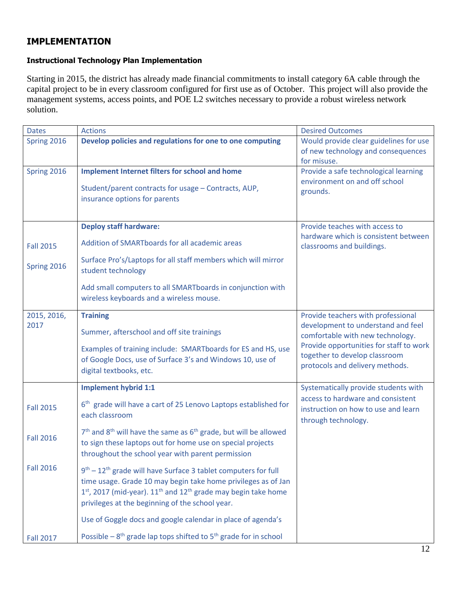# **IMPLEMENTATION**

#### **Instructional Technology Plan Implementation**

Starting in 2015, the district has already made financial commitments to install category 6A cable through the capital project to be in every classroom configured for first use as of October. This project will also provide the management systems, access points, and POE L2 switches necessary to provide a robust wireless network solution.

| <b>Dates</b>     | <b>Actions</b>                                                                                                                                                                                                                                                                     | <b>Desired Outcomes</b>                                                                                     |
|------------------|------------------------------------------------------------------------------------------------------------------------------------------------------------------------------------------------------------------------------------------------------------------------------------|-------------------------------------------------------------------------------------------------------------|
| Spring 2016      | Develop policies and regulations for one to one computing                                                                                                                                                                                                                          | Would provide clear guidelines for use<br>of new technology and consequences<br>for misuse.                 |
| Spring 2016      | <b>Implement Internet filters for school and home</b>                                                                                                                                                                                                                              | Provide a safe technological learning                                                                       |
|                  | Student/parent contracts for usage - Contracts, AUP,<br>insurance options for parents                                                                                                                                                                                              | environment on and off school<br>grounds.                                                                   |
|                  | <b>Deploy staff hardware:</b>                                                                                                                                                                                                                                                      | Provide teaches with access to                                                                              |
| <b>Fall 2015</b> | Addition of SMARTboards for all academic areas                                                                                                                                                                                                                                     | hardware which is consistent between<br>classrooms and buildings.                                           |
| Spring 2016      | Surface Pro's/Laptops for all staff members which will mirror<br>student technology                                                                                                                                                                                                |                                                                                                             |
|                  | Add small computers to all SMARTboards in conjunction with<br>wireless keyboards and a wireless mouse.                                                                                                                                                                             |                                                                                                             |
| 2015, 2016,      | <b>Training</b>                                                                                                                                                                                                                                                                    | Provide teachers with professional                                                                          |
| 2017             | Summer, afterschool and off site trainings                                                                                                                                                                                                                                         | development to understand and feel<br>comfortable with new technology.                                      |
|                  | Examples of training include: SMARTboards for ES and HS, use<br>of Google Docs, use of Surface 3's and Windows 10, use of<br>digital textbooks, etc.                                                                                                                               | Provide opportunities for staff to work<br>together to develop classroom<br>protocols and delivery methods. |
|                  | <b>Implement hybrid 1:1</b>                                                                                                                                                                                                                                                        | Systematically provide students with                                                                        |
| <b>Fall 2015</b> | 6 <sup>th</sup> grade will have a cart of 25 Lenovo Laptops established for<br>each classroom                                                                                                                                                                                      | access to hardware and consistent<br>instruction on how to use and learn<br>through technology.             |
| <b>Fall 2016</b> | $7th$ and 8 <sup>th</sup> will have the same as $6th$ grade, but will be allowed<br>to sign these laptops out for home use on special projects<br>throughout the school year with parent permission                                                                                |                                                                                                             |
| <b>Fall 2016</b> | 9 <sup>th</sup> – 12 <sup>th</sup> grade will have Surface 3 tablet computers for full<br>time usage. Grade 10 may begin take home privileges as of Jan<br>$1st$ , 2017 (mid-year). $11th$ and $12th$ grade may begin take home<br>privileges at the beginning of the school year. |                                                                                                             |
|                  | Use of Goggle docs and google calendar in place of agenda's                                                                                                                                                                                                                        |                                                                                                             |
| <b>Fall 2017</b> | Possible $-8$ <sup>th</sup> grade lap tops shifted to 5 <sup>th</sup> grade for in school                                                                                                                                                                                          |                                                                                                             |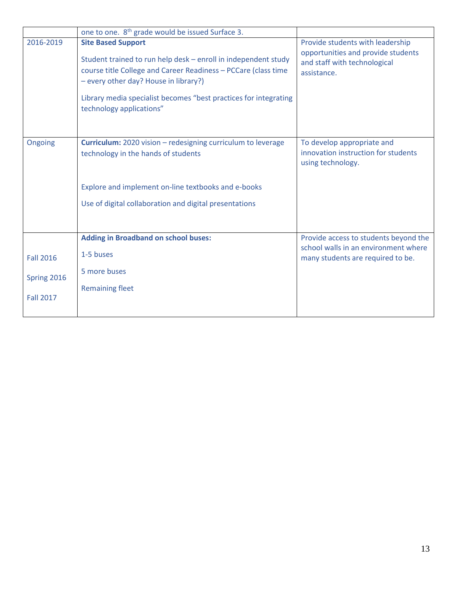|                                                     | one to one. 8 <sup>th</sup> grade would be issued Surface 3.                                                                                                                                                                                                                                           |                                                                                                                       |
|-----------------------------------------------------|--------------------------------------------------------------------------------------------------------------------------------------------------------------------------------------------------------------------------------------------------------------------------------------------------------|-----------------------------------------------------------------------------------------------------------------------|
| 2016-2019                                           | <b>Site Based Support</b><br>Student trained to run help desk - enroll in independent study<br>course title College and Career Readiness - PCCare (class time<br>- every other day? House in library?)<br>Library media specialist becomes "best practices for integrating<br>technology applications" | Provide students with leadership<br>opportunities and provide students<br>and staff with technological<br>assistance. |
| Ongoing                                             | <b>Curriculum:</b> 2020 vision - redesigning curriculum to leverage<br>technology in the hands of students<br>Explore and implement on-line textbooks and e-books<br>Use of digital collaboration and digital presentations                                                                            | To develop appropriate and<br>innovation instruction for students<br>using technology.                                |
| <b>Fall 2016</b><br>Spring 2016<br><b>Fall 2017</b> | <b>Adding in Broadband on school buses:</b><br>1-5 buses<br>5 more buses<br><b>Remaining fleet</b>                                                                                                                                                                                                     | Provide access to students beyond the<br>school walls in an environment where<br>many students are required to be.    |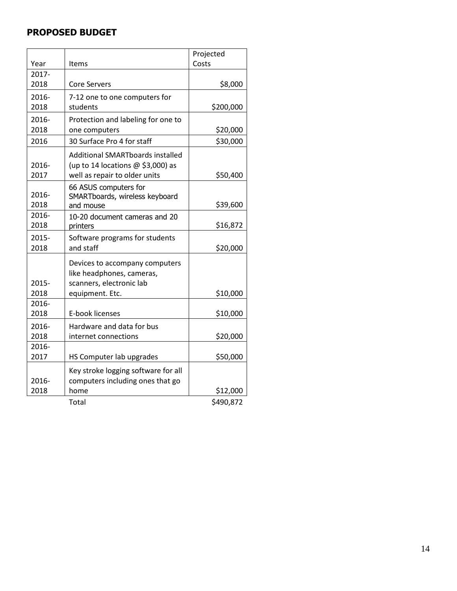# **PROPOSED BUDGET**

|               |                                                                                                            | Projected |
|---------------|------------------------------------------------------------------------------------------------------------|-----------|
| Year          | Items                                                                                                      | Costs     |
| 2017-         |                                                                                                            |           |
| 2018          | <b>Core Servers</b>                                                                                        | \$8,000   |
| 2016-         | 7-12 one to one computers for                                                                              |           |
| 2018          | students                                                                                                   | \$200,000 |
| 2016-         | Protection and labeling for one to                                                                         |           |
| 2018          | one computers                                                                                              | \$20,000  |
| 2016          | 30 Surface Pro 4 for staff                                                                                 | \$30,000  |
| 2016-<br>2017 | Additional SMARTboards installed<br>(up to 14 locations $@$ \$3,000) as<br>well as repair to older units   | \$50,400  |
| 2016-<br>2018 | 66 ASUS computers for<br>SMARTboards, wireless keyboard<br>and mouse                                       | \$39,600  |
| 2016-         | 10-20 document cameras and 20                                                                              |           |
| 2018          | printers                                                                                                   | \$16,872  |
| 2015-         | Software programs for students                                                                             |           |
| 2018          | and staff                                                                                                  | \$20,000  |
| 2015-<br>2018 | Devices to accompany computers<br>like headphones, cameras,<br>scanners, electronic lab<br>equipment. Etc. | \$10,000  |
| 2016-         |                                                                                                            |           |
| 2018          | E-book licenses                                                                                            | \$10,000  |
| 2016-<br>2018 | Hardware and data for bus<br>internet connections                                                          | \$20,000  |
| 2016-         |                                                                                                            |           |
| 2017          | HS Computer lab upgrades                                                                                   | \$50,000  |
| 2016-         | Key stroke logging software for all<br>computers including ones that go                                    |           |
| 2018          | home                                                                                                       | \$12,000  |
|               | Total                                                                                                      | \$490,872 |